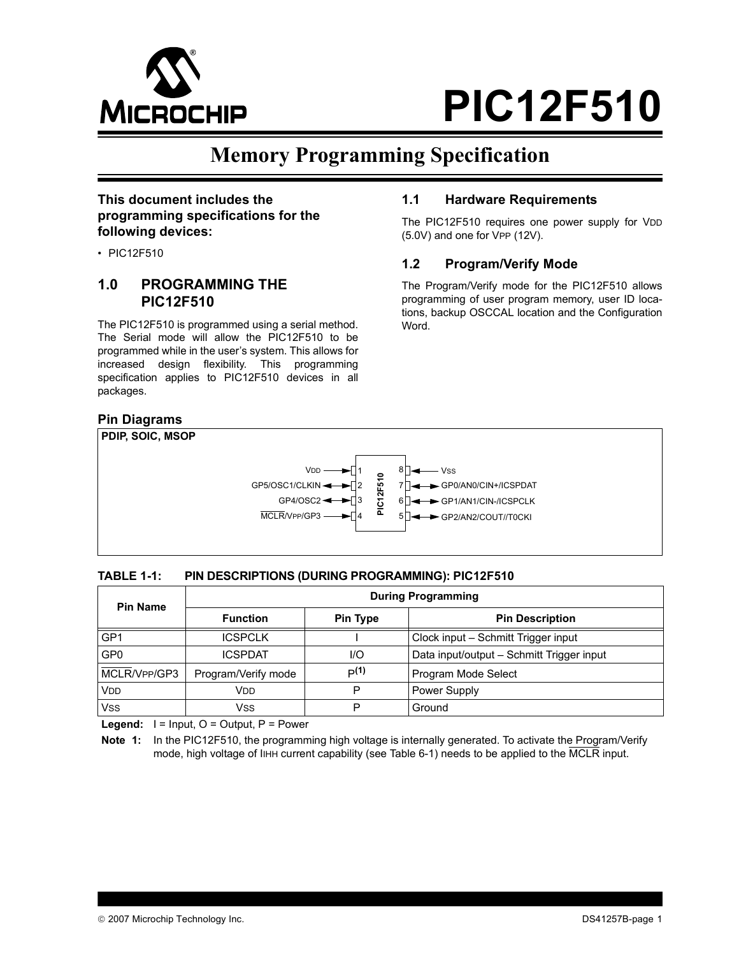

**1.1 Hardware Requirements**

(5.0V) and one for VPP (12V).

**1.2 Program/Verify Mode**

The PIC12F510 requires one power supply for VDD

The Program/Verify mode for the PIC12F510 allows programming of user program memory, user ID locations, backup OSCCAL location and the Configuration

## **Memory Programming Specification**

Word.

## **This document includes the programming specifications for the following devices:**

• PIC12F510

## **1.0 PROGRAMMING THE PIC12F510**

The PIC12F510 is programmed using a serial method. The Serial mode will allow the PIC12F510 to be programmed while in the user's system. This allows for increased design flexibility. This programming specification applies to PIC12F510 devices in all packages.

### **Pin Diagrams**



### **TABLE 1-1: PIN DESCRIPTIONS (DURING PROGRAMMING): PIC12F510**

| <b>Pin Name</b> | <b>During Programming</b> |                 |                                           |  |  |  |
|-----------------|---------------------------|-----------------|-------------------------------------------|--|--|--|
|                 | <b>Function</b>           | <b>Pin Type</b> | <b>Pin Description</b>                    |  |  |  |
| GP1             | <b>ICSPCLK</b>            |                 | Clock input - Schmitt Trigger input       |  |  |  |
| GP <sub>0</sub> | <b>ICSPDAT</b>            | I/O             | Data input/output - Schmitt Trigger input |  |  |  |
| MCLR/VPP/GP3    | Program/Verify mode       | P(1)            | Program Mode Select                       |  |  |  |
| VDD             | Vdd                       | P               | <b>Power Supply</b>                       |  |  |  |
| Vss             | Vss                       | D               | Ground                                    |  |  |  |

Legend:  $I = Input, O = Output, P = Power$ 

**Note 1:** In the PIC12F510, the programming high voltage is internally generated. To activate the Program/Verify mode, high voltage of IIHH current capability (see [Table 6-1](#page-16-0)) needs to be applied to the MCLR input.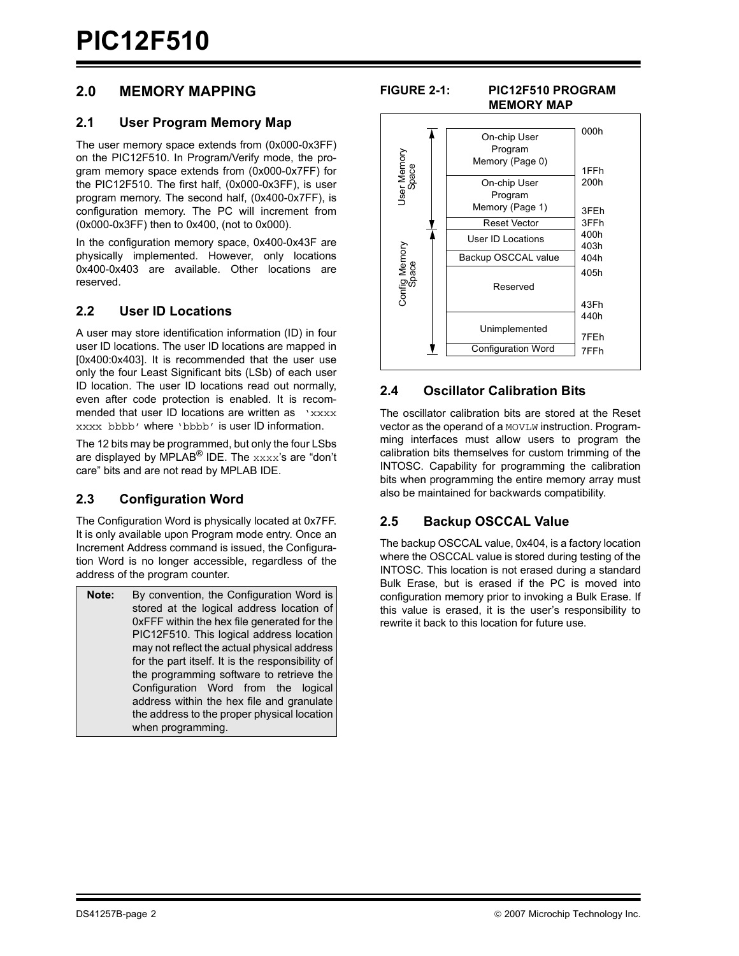## **2.0 MEMORY MAPPING**

## **2.1 User Program Memory Map**

The user memory space extends from (0x000-0x3FF) on the PIC12F510. In Program/Verify mode, the program memory space extends from (0x000-0x7FF) for the PIC12F510. The first half, (0x000-0x3FF), is user program memory. The second half, (0x400-0x7FF), is configuration memory. The PC will increment from (0x000-0x3FF) then to 0x400, (not to 0x000).

In the configuration memory space, 0x400-0x43F are physically implemented. However, only locations 0x400-0x403 are available. Other locations are reserved.

## **2.2 User ID Locations**

A user may store identification information (ID) in four user ID locations. The user ID locations are mapped in [0x400:0x403]. It is recommended that the user use only the four Least Significant bits (LSb) of each user ID location. The user ID locations read out normally, even after code protection is enabled. It is recommended that user ID locations are written as  $'xxxx$ xxxx bbbb' where 'bbbb' is user ID information.

The 12 bits may be programmed, but only the four LSbs are displayed by MPLAB<sup>®</sup> IDE. The xxxx's are "don't care" bits and are not read by MPLAB IDE.

## **2.3 Configuration Word**

The Configuration Word is physically located at 0x7FF. It is only available upon Program mode entry. Once an Increment Address command is issued, the Configuration Word is no longer accessible, regardless of the address of the program counter.

**Note:** By convention, the Configuration Word is stored at the logical address location of 0xFFF within the hex file generated for the PIC12F510. This logical address location may not reflect the actual physical address for the part itself. It is the responsibility of the programming software to retrieve the Configuration Word from the logical address within the hex file and granulate the address to the proper physical location when programming.

### **FIGURE 2-1: PIC12F510 PROGRAM MEMORY MAP**



## **2.4 Oscillator Calibration Bits**

The oscillator calibration bits are stored at the Reset vector as the operand of a MOVLW instruction. Programming interfaces must allow users to program the calibration bits themselves for custom trimming of the INTOSC. Capability for programming the calibration bits when programming the entire memory array must also be maintained for backwards compatibility.

## **2.5 Backup OSCCAL Value**

The backup OSCCAL value, 0x404, is a factory location where the OSCCAL value is stored during testing of the INTOSC. This location is not erased during a standard Bulk Erase, but is erased if the PC is moved into configuration memory prior to invoking a Bulk Erase. If this value is erased, it is the user's responsibility to rewrite it back to this location for future use.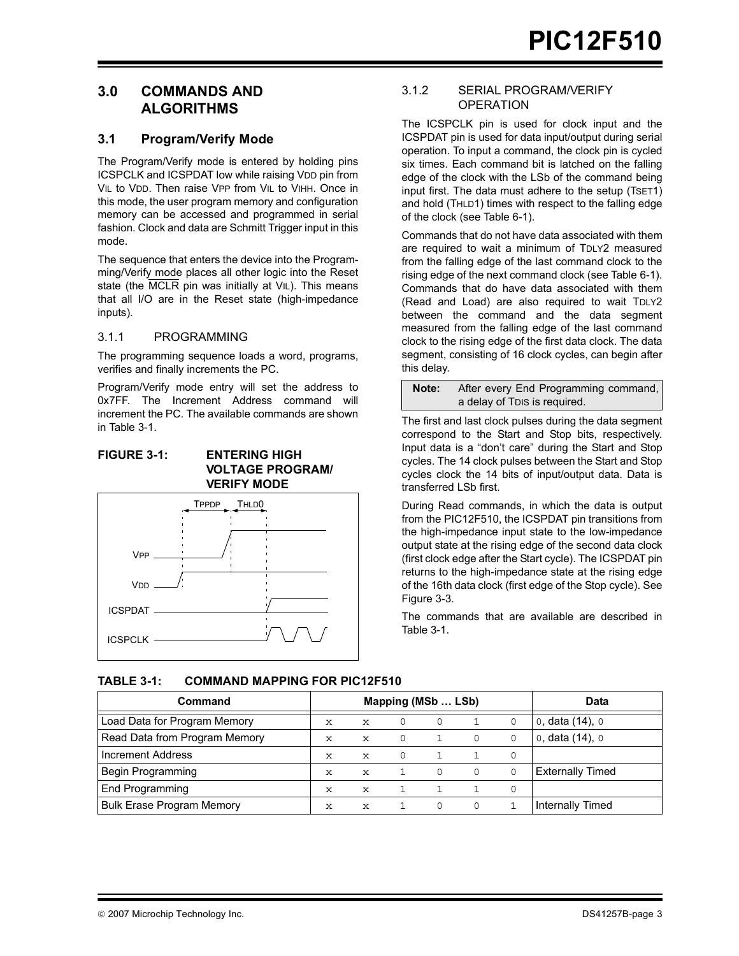## **3.0 COMMANDS AND ALGORITHMS**

## **3.1 Program/Verify Mode**

The Program/Verify mode is entered by holding pins ICSPCLK and ICSPDAT low while raising VDD pin from VIL to VDD. Then raise VPP from VIL to VIHH. Once in this mode, the user program memory and configuration memory can be accessed and programmed in serial fashion. Clock and data are Schmitt Trigger input in this mode.

The sequence that enters the device into the Programming/Verify mode places all other logic into the Reset state (the MCLR pin was initially at VIL). This means that all I/O are in the Reset state (high-impedance inputs).

### 3.1.1 PROGRAMMING

The programming sequence loads a word, programs, verifies and finally increments the PC.

Program/Verify mode entry will set the address to 0x7FF. The Increment Address command will increment the PC. The available commands are shown in [Table 3-1](#page-2-0).

### <span id="page-2-1"></span>**FIGURE 3-1: ENTERING HIGH VOLTAGE PROGRAM/ VERIFY MODE**



## 3.1.2 SERIAL PROGRAM/VERIFY **OPERATION**

The ICSPCLK pin is used for clock input and the ICSPDAT pin is used for data input/output during serial operation. To input a command, the clock pin is cycled six times. Each command bit is latched on the falling edge of the clock with the LSb of the command being input first. The data must adhere to the setup (TSET1) and hold (THLD1) times with respect to the falling edge of the clock (see [Table 6-1\)](#page-16-0).

Commands that do not have data associated with them are required to wait a minimum of TDLY2 measured from the falling edge of the last command clock to the rising edge of the next command clock (see [Table 6-1](#page-16-0)). Commands that do have data associated with them (Read and Load) are also required to wait TDLY2 between the command and the data segment measured from the falling edge of the last command clock to the rising edge of the first data clock. The data segment, consisting of 16 clock cycles, can begin after this delay.

**Note:** After every End Programming command, a delay of TDIS is required.

The first and last clock pulses during the data segment correspond to the Start and Stop bits, respectively. Input data is a "don't care" during the Start and Stop cycles. The 14 clock pulses between the Start and Stop cycles clock the 14 bits of input/output data. Data is transferred LSb first.

During Read commands, in which the data is output from the PIC12F510, the ICSPDAT pin transitions from the high-impedance input state to the low-impedance output state at the rising edge of the second data clock (first clock edge after the Start cycle). The ICSPDAT pin returns to the high-impedance state at the rising edge of the 16th data clock (first edge of the Stop cycle). See [Figure 3-3.](#page-3-0)

The commands that are available are described in [Table 3-1.](#page-2-0)

## <span id="page-2-0"></span>**TABLE 3-1: COMMAND MAPPING FOR PIC12F510**

| Command                          |             |             | Mapping (MSb  LSb) | Data     |          |   |                         |
|----------------------------------|-------------|-------------|--------------------|----------|----------|---|-------------------------|
| Load Data for Program Memory     | X           | x           | 0                  | 0        |          |   | 0, data (14), 0         |
| Read Data from Program Memory    | $\mathbf x$ | X           | $\Omega$           |          | 0        | 0 | 0, data $(14)$ , 0      |
| Increment Address                | $\mathbf x$ | $\mathbf x$ | 0                  |          |          |   |                         |
| Begin Programming                | $\mathbf x$ | X           |                    | $\Omega$ | $\Omega$ |   | <b>Externally Timed</b> |
| End Programming                  | X           | $\mathbf x$ |                    |          |          | 0 |                         |
| <b>Bulk Erase Program Memory</b> | х           | x           |                    | 0        |          |   | Internally Timed        |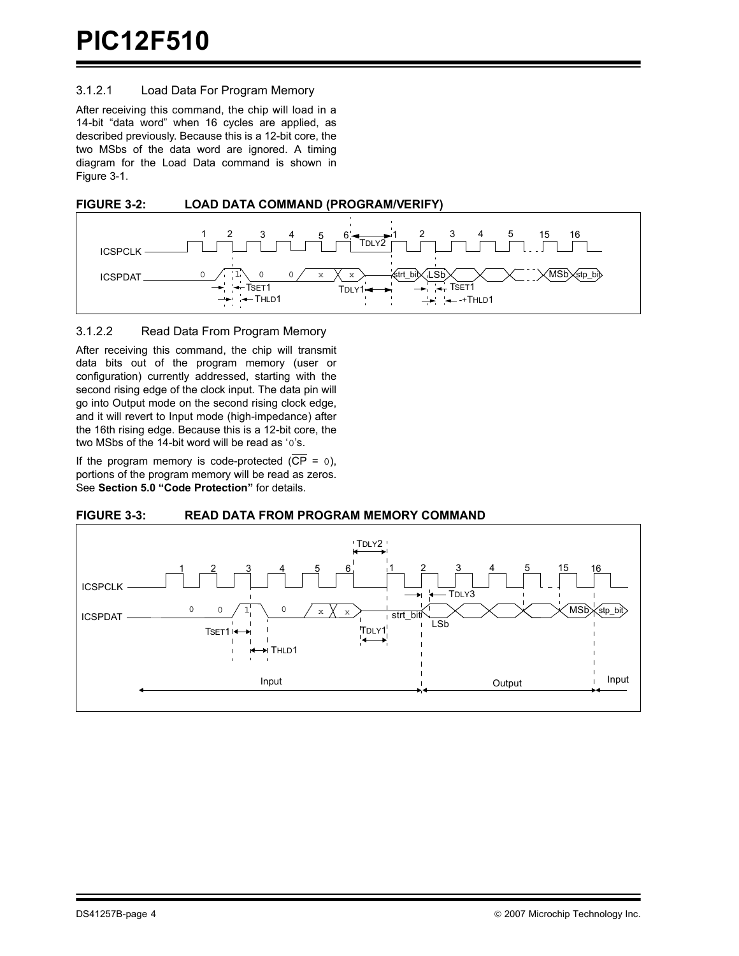### 3.1.2.1 Load Data For Program Memory

After receiving this command, the chip will load in a 14-bit "data word" when 16 cycles are applied, as described previously. Because this is a 12-bit core, the two MSbs of the data word are ignored. A timing diagram for the Load Data command is shown in [Figure 3-1.](#page-2-1)





### 3.1.2.2 Read Data From Program Memory

After receiving this command, the chip will transmit data bits out of the program memory (user or configuration) currently addressed, starting with the second rising edge of the clock input. The data pin will go into Output mode on the second rising clock edge, and it will revert to Input mode (high-impedance) after the 16th rising edge. Because this is a 12-bit core, the two MSbs of the 14-bit word will be read as '0's.

If the program memory is code-protected  $(\overline{CP} = 0)$ , portions of the program memory will be read as zeros. See **[Section 5.0 "Code Protection"](#page-14-0)** for details.

### <span id="page-3-0"></span>**FIGURE 3-3: READ DATA FROM PROGRAM MEMORY COMMAND**

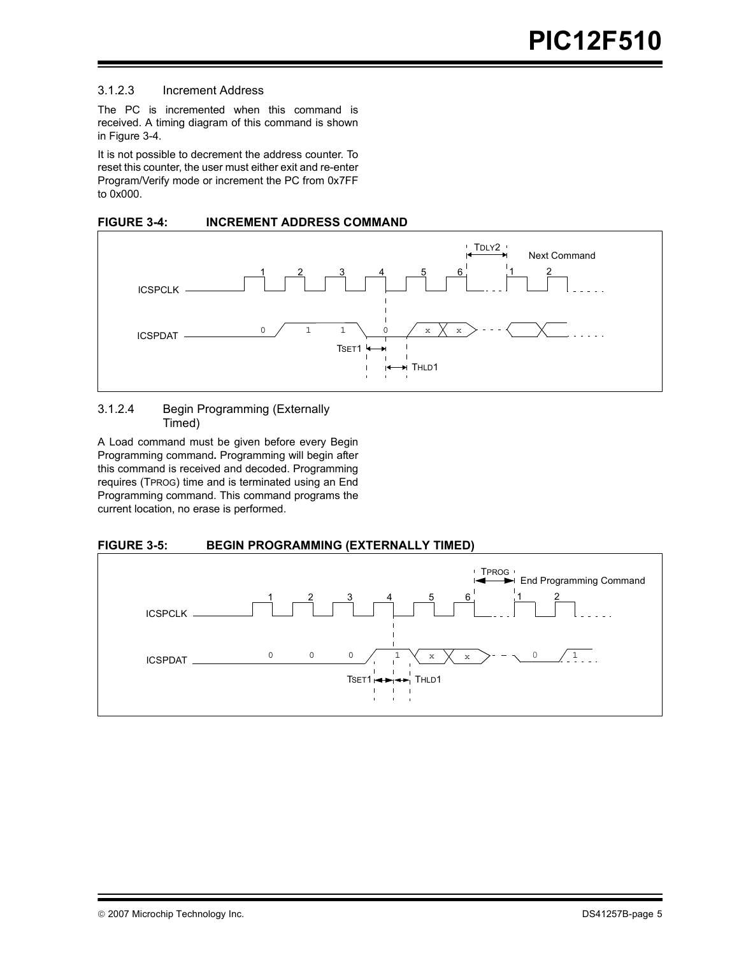### 3.1.2.3 Increment Address

The PC is incremented when this command is received. A timing diagram of this command is shown in [Figure 3-4](#page-4-0).

It is not possible to decrement the address counter. To reset this counter, the user must either exit and re-enter Program/Verify mode or increment the PC from 0x7FF to 0x000.

<span id="page-4-0"></span>



### 3.1.2.4 Begin Programming (Externally Timed)

A Load command must be given before every Begin Programming command**.** Programming will begin after this command is received and decoded. Programming requires (TPROG) time and is terminated using an End Programming command. This command programs the current location, no erase is performed.

## **FIGURE 3-5: BEGIN PROGRAMMING (EXTERNALLY TIMED)**

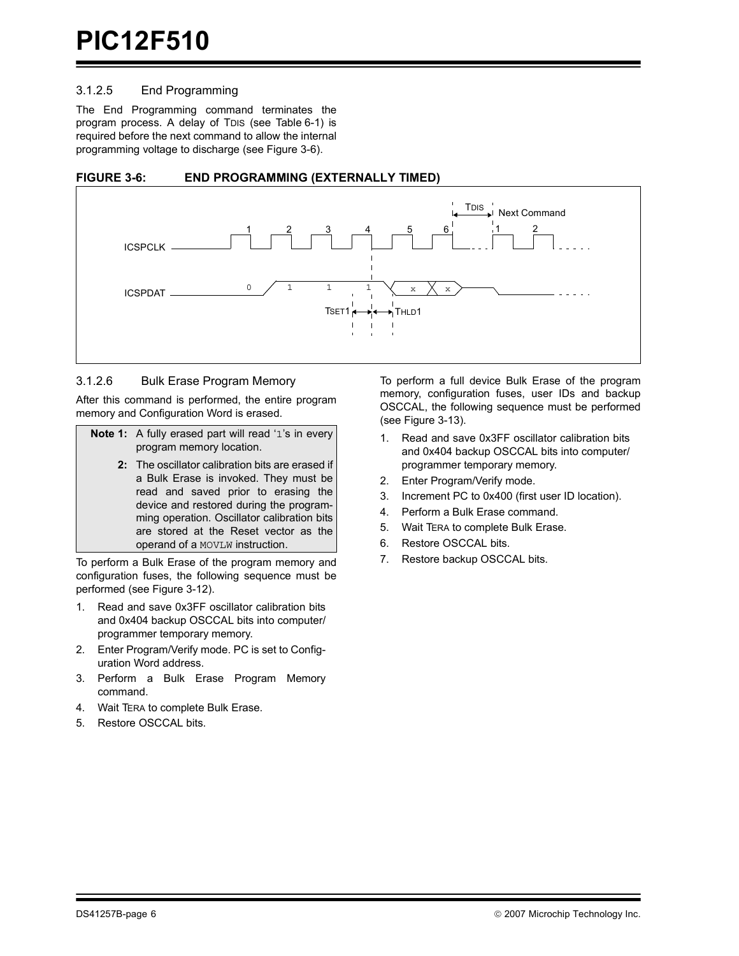### 3.1.2.5 End Programming

The End Programming command terminates the program process. A delay of TDIS (see [Table 6-1](#page-16-0)) is required before the next command to allow the internal programming voltage to discharge (see [Figure 3-6](#page-5-0)).

<span id="page-5-0"></span>



### 3.1.2.6 Bulk Erase Program Memory

After this command is performed, the entire program memory and Configuration Word is erased.

| <b>Note 1:</b> A fully erased part will read '1's in every |
|------------------------------------------------------------|
| program memory location.                                   |

**2:** The oscillator calibration bits are erased if a Bulk Erase is invoked. They must be read and saved prior to erasing the device and restored during the programming operation. Oscillator calibration bits are stored at the Reset vector as the operand of a MOVLW instruction.

To perform a Bulk Erase of the program memory and configuration fuses, the following sequence must be performed (see [Figure 3-12](#page-11-0)).

- 1. Read and save 0x3FF oscillator calibration bits and 0x404 backup OSCCAL bits into computer/ programmer temporary memory.
- 2. Enter Program/Verify mode. PC is set to Configuration Word address.
- 3. Perform a Bulk Erase Program Memory command.
- 4. Wait TERA to complete Bulk Erase.
- 5. Restore OSCCAL bits.

To perform a full device Bulk Erase of the program memory, configuration fuses, user IDs and backup OSCCAL, the following sequence must be performed (see [Figure 3-13\)](#page-12-0).

- 1. Read and save 0x3FF oscillator calibration bits and 0x404 backup OSCCAL bits into computer/ programmer temporary memory.
- 2. Enter Program/Verify mode.
- 3. Increment PC to 0x400 (first user ID location).
- 4. Perform a Bulk Erase command.
- 5. Wait TERA to complete Bulk Erase.
- 6. Restore OSCCAL bits.
- 7. Restore backup OSCCAL bits.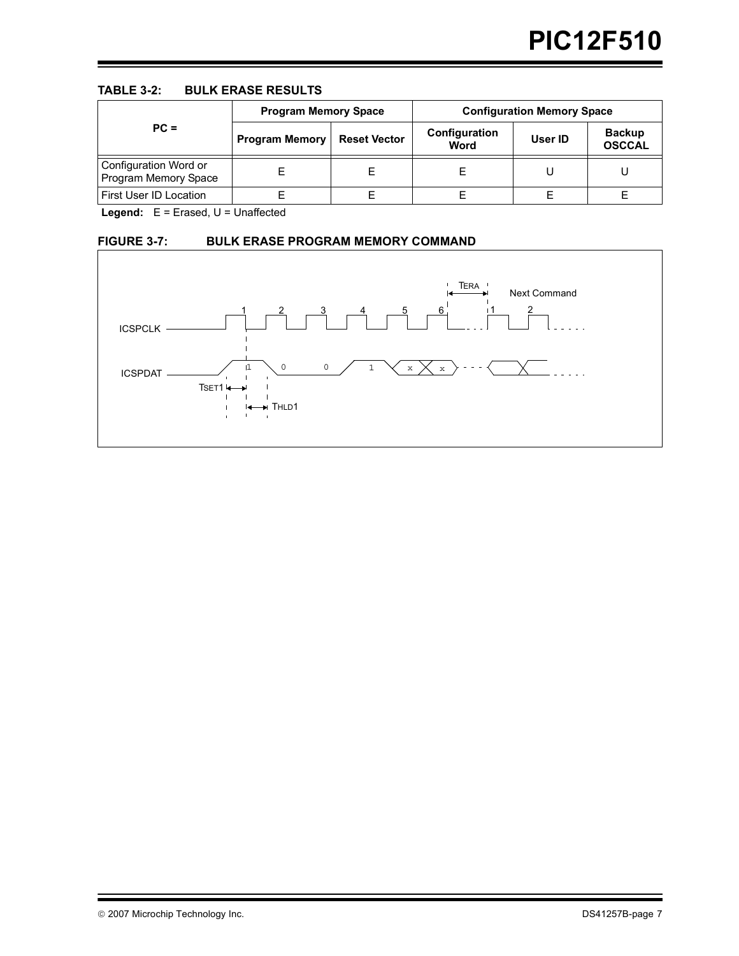### **TABLE 3-2: BULK ERASE RESULTS**

|                                               | <b>Program Memory Space</b> |                     | <b>Configuration Memory Space</b> |         |                                |  |
|-----------------------------------------------|-----------------------------|---------------------|-----------------------------------|---------|--------------------------------|--|
| $PC =$                                        | <b>Program Memory</b>       | <b>Reset Vector</b> | Configuration<br>Word             | User ID | <b>Backup</b><br><b>OSCCAL</b> |  |
| Configuration Word or<br>Program Memory Space |                             | E                   |                                   |         |                                |  |
| First User ID Location                        |                             |                     |                                   |         |                                |  |

Legend: E = Erased, U = Unaffected

## **FIGURE 3-7: BULK ERASE PROGRAM MEMORY COMMAND**

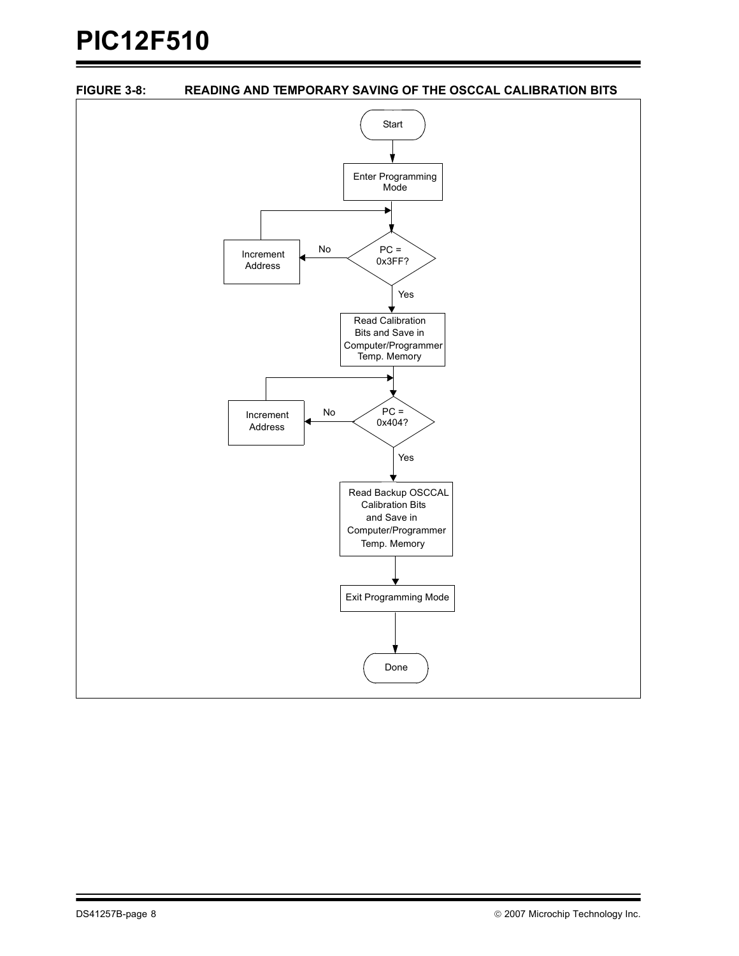<span id="page-7-0"></span>

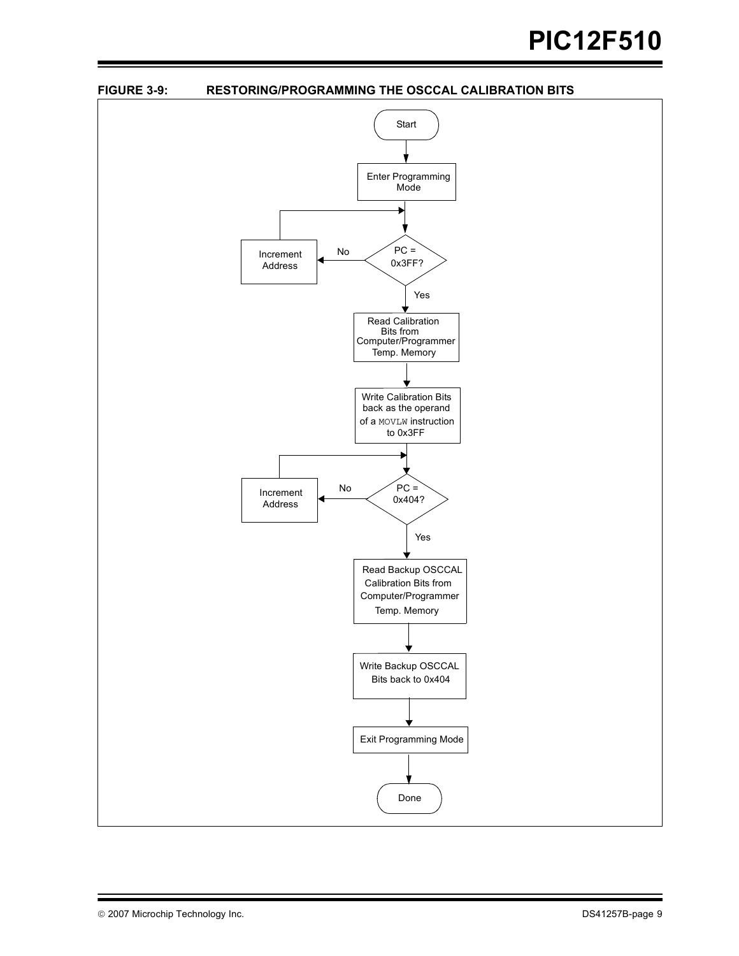<span id="page-8-0"></span>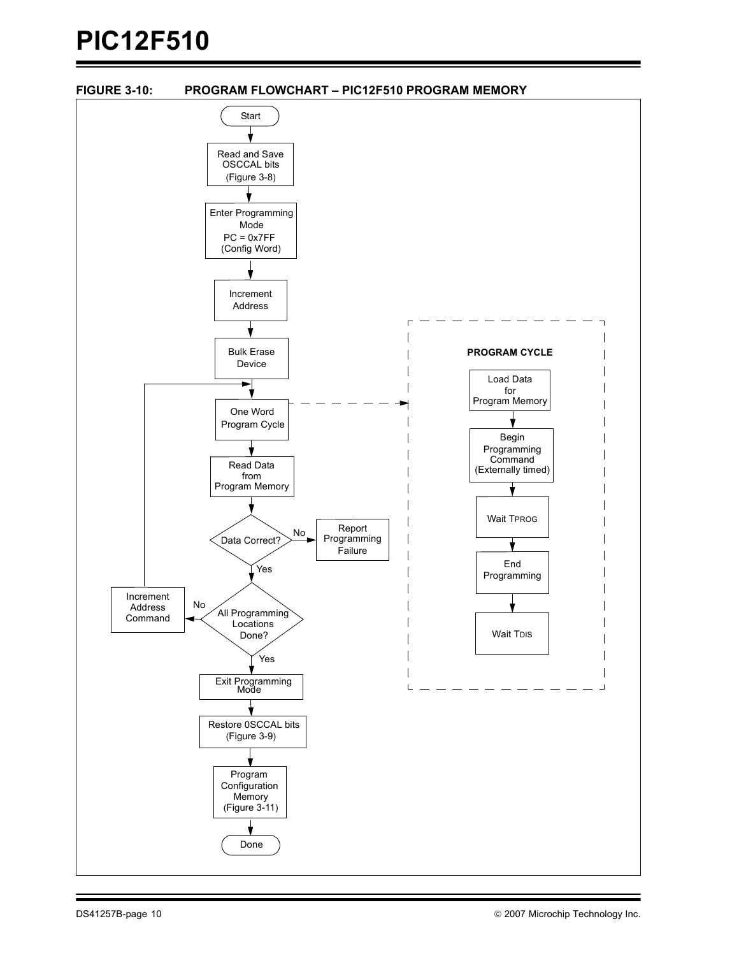<span id="page-9-0"></span>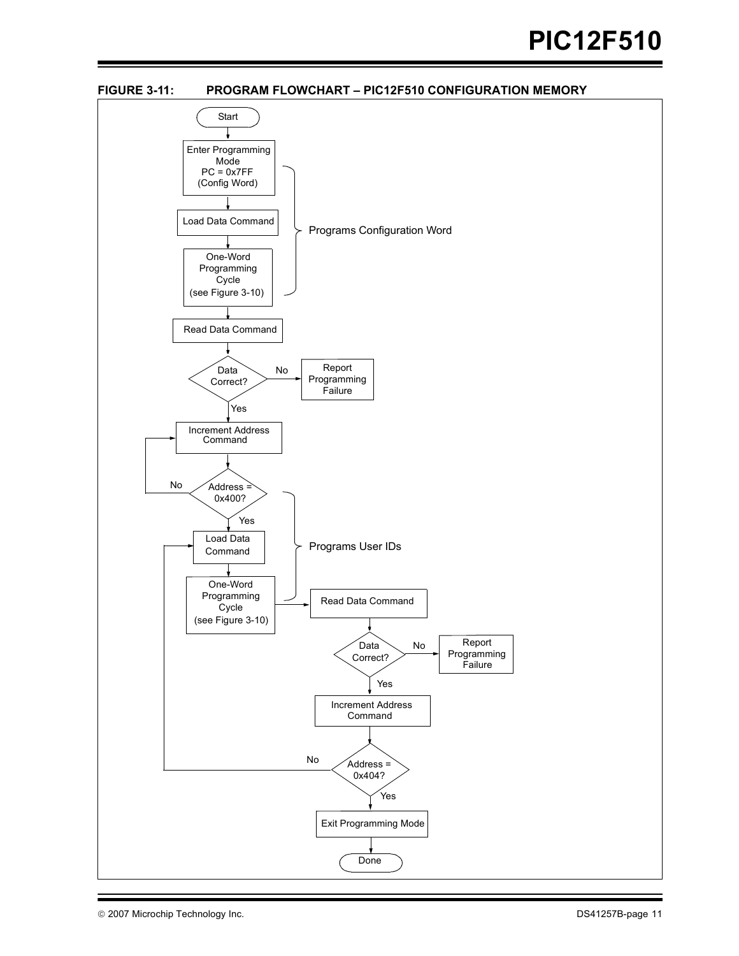<span id="page-10-0"></span>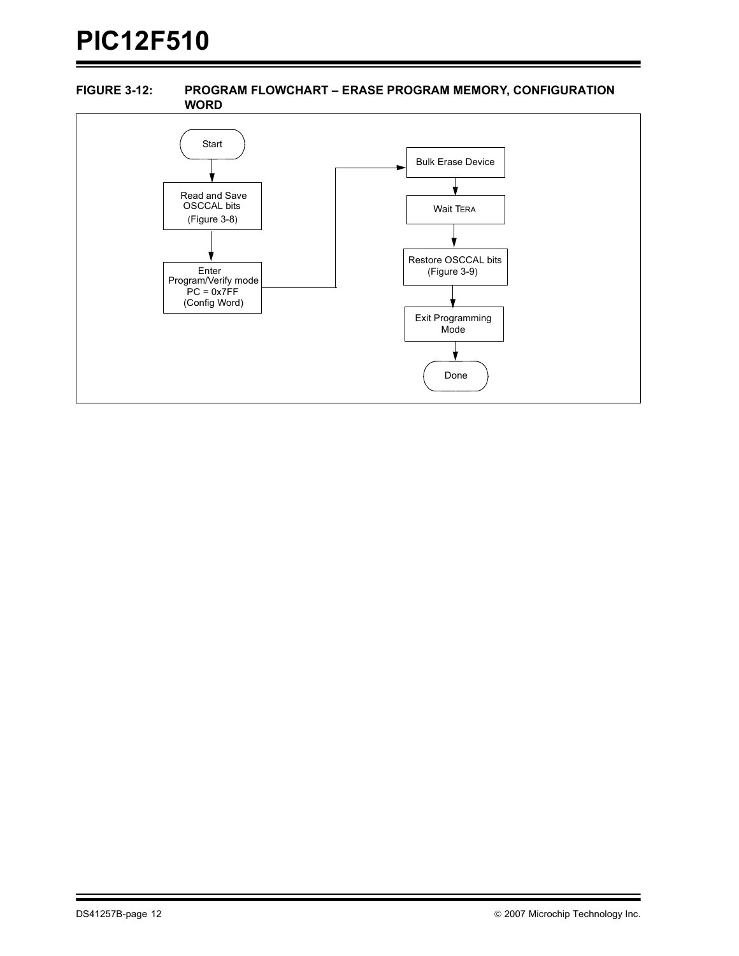### <span id="page-11-0"></span>**FIGURE 3-12: PROGRAM FLOWCHART – ERASE PROGRAM MEMORY, CONFIGURATION WORD**

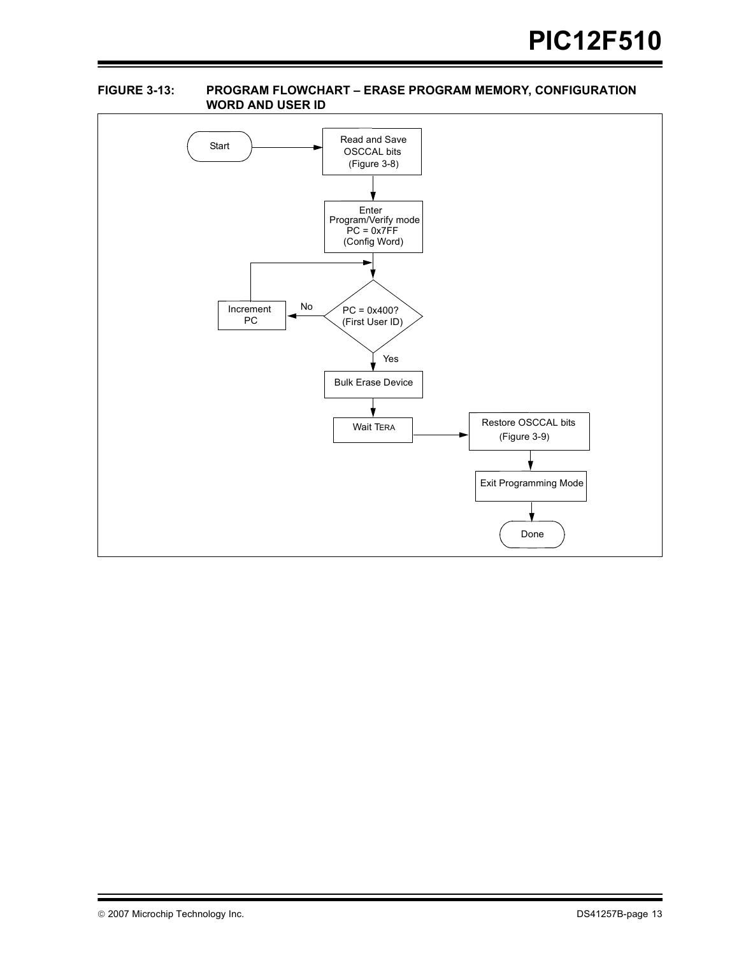### <span id="page-12-0"></span>**FIGURE 3-13: PROGRAM FLOWCHART – ERASE PROGRAM MEMORY, CONFIGURATION WORD AND USER ID**

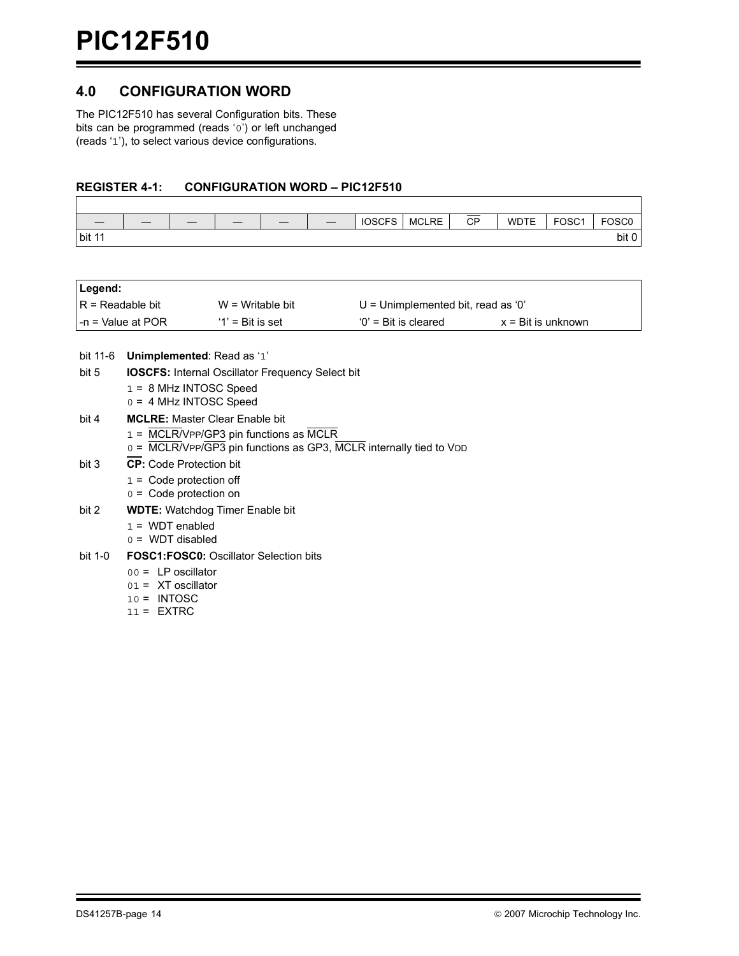## **4.0 CONFIGURATION WORD**

The PIC12F510 has several Configuration bits. These bits can be programmed (reads '0') or left unchanged (reads '1'), to select various device configurations.

### **REGISTER 4-1: CONFIGURATION WORD – PIC12F510**

|        | $-$ | __ | $-$ | $\overline{\phantom{a}}$ | <b>IOSCFS</b> | <b>MCLRE</b> | СP | <b>WDTE</b> | FOSC <sub>1</sub> | FOSC <sub>0</sub> |
|--------|-----|----|-----|--------------------------|---------------|--------------|----|-------------|-------------------|-------------------|
| bit 11 |     |    |     |                          |               |              |    |             |                   | bit r             |

| Legend:                  |                                                                    |                                                         |                                      |                             |  |  |  |  |
|--------------------------|--------------------------------------------------------------------|---------------------------------------------------------|--------------------------------------|-----------------------------|--|--|--|--|
| $R = Readable bit$       |                                                                    | $W = Writeble$ bit                                      | $U =$ Unimplemented bit, read as '0' |                             |  |  |  |  |
|                          | $-n =$ Value at POR                                                | $'1'$ = Bit is set                                      | $0'$ = Bit is cleared                | $x = \text{Bit}$ is unknown |  |  |  |  |
|                          |                                                                    |                                                         |                                      |                             |  |  |  |  |
| bit 11-6                 | Unimplemented: Read as '1'                                         |                                                         |                                      |                             |  |  |  |  |
| bit 5                    |                                                                    | <b>IOSCFS:</b> Internal Oscillator Frequency Select bit |                                      |                             |  |  |  |  |
|                          | $1 = 8$ MHz INTOSC Speed                                           |                                                         |                                      |                             |  |  |  |  |
|                          | $0 = 4$ MHz INTOSC Speed                                           |                                                         |                                      |                             |  |  |  |  |
| bit 4                    | <b>MCLRE:</b> Master Clear Enable bit                              |                                                         |                                      |                             |  |  |  |  |
|                          |                                                                    | 1 = MCLR/VPP/GP3 pin functions as MCLR                  |                                      |                             |  |  |  |  |
|                          | 0 = MCLR/VPP/GP3 pin functions as GP3, MCLR internally tied to VDD |                                                         |                                      |                             |  |  |  |  |
| bit 3                    | <b>CP:</b> Code Protection bit                                     |                                                         |                                      |                             |  |  |  |  |
|                          | $1 =$ Code protection off                                          |                                                         |                                      |                             |  |  |  |  |
| $0 =$ Code protection on |                                                                    |                                                         |                                      |                             |  |  |  |  |

- bit 2 **WDTE:** Watchdog Timer Enable bit
	- $1 = WDT$  enabled
	- $0 = WDT$  disabled

#### bit 1-0 **FOSC1:FOSC0:** Oscillator Selection bits

- 00 = LP oscillator
- 01 = XT oscillator
- 10 = INTOSC
- 11 = EXTRC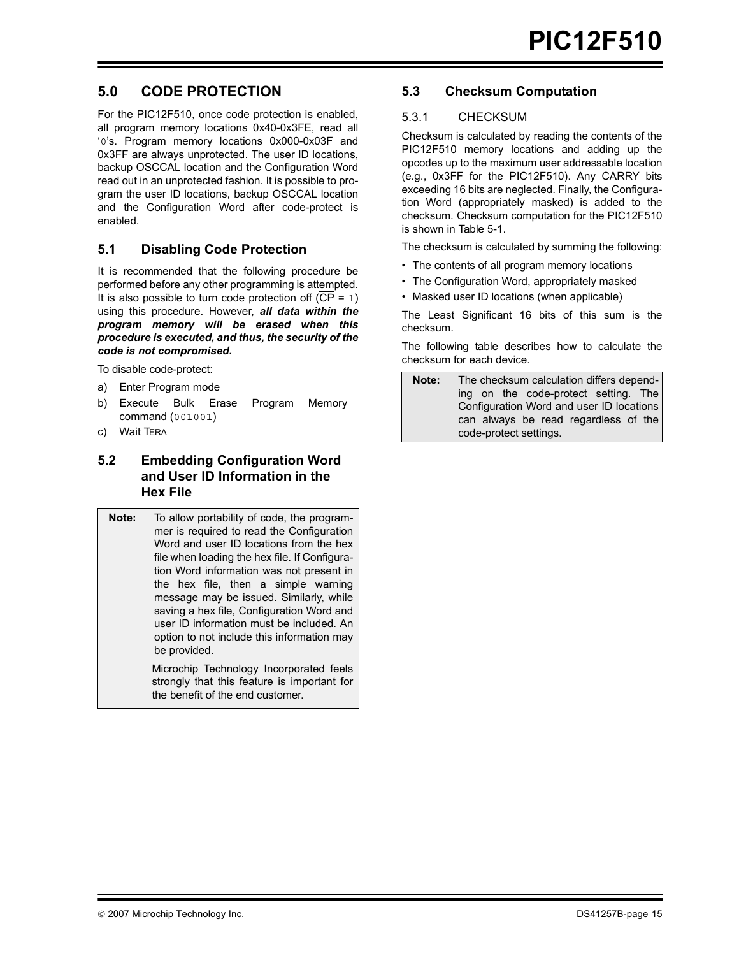## <span id="page-14-0"></span>**5.0 CODE PROTECTION**

For the PIC12F510, once code protection is enabled, all program memory locations 0x40-0x3FE, read all '0's. Program memory locations 0x000-0x03F and 0x3FF are always unprotected. The user ID locations, backup OSCCAL location and the Configuration Word read out in an unprotected fashion. It is possible to program the user ID locations, backup OSCCAL location and the Configuration Word after code-protect is enabled.

## **5.1 Disabling Code Protection**

It is recommended that the following procedure be performed before any other programming is attempted. It is also possible to turn code protection off  $(\overline{CP} = 1)$ using this procedure. However, *all data within the program memory will be erased when this procedure is executed, and thus, the security of the code is not compromised.*

To disable code-protect:

- a) Enter Program mode
- b) Execute Bulk Erase Program Memory command (001001)
- c) Wait TERA

## **5.2 Embedding Configuration Word and User ID Information in the Hex File**

**Note:** To allow portability of code, the programmer is required to read the Configuration Word and user ID locations from the hex file when loading the hex file. If Configuration Word information was not present in the hex file, then a simple warning message may be issued. Similarly, while saving a hex file, Configuration Word and user ID information must be included. An option to not include this information may be provided.

Microchip Technology Incorporated feels strongly that this feature is important for the benefit of the end customer.

## **5.3 Checksum Computation**

## 5.3.1 CHECKSUM

Checksum is calculated by reading the contents of the PIC12F510 memory locations and adding up the opcodes up to the maximum user addressable location (e.g., 0x3FF for the PIC12F510). Any CARRY bits exceeding 16 bits are neglected. Finally, the Configuration Word (appropriately masked) is added to the checksum. Checksum computation for the PIC12F510 is shown in [Table 5-1.](#page-15-0)

The checksum is calculated by summing the following:

- The contents of all program memory locations
- The Configuration Word, appropriately masked
- Masked user ID locations (when applicable)

The Least Significant 16 bits of this sum is the checksum.

The following table describes how to calculate the checksum for each device.

**Note:** The checksum calculation differs depending on the code-protect setting. The Configuration Word and user ID locations can always be read regardless of the code-protect settings.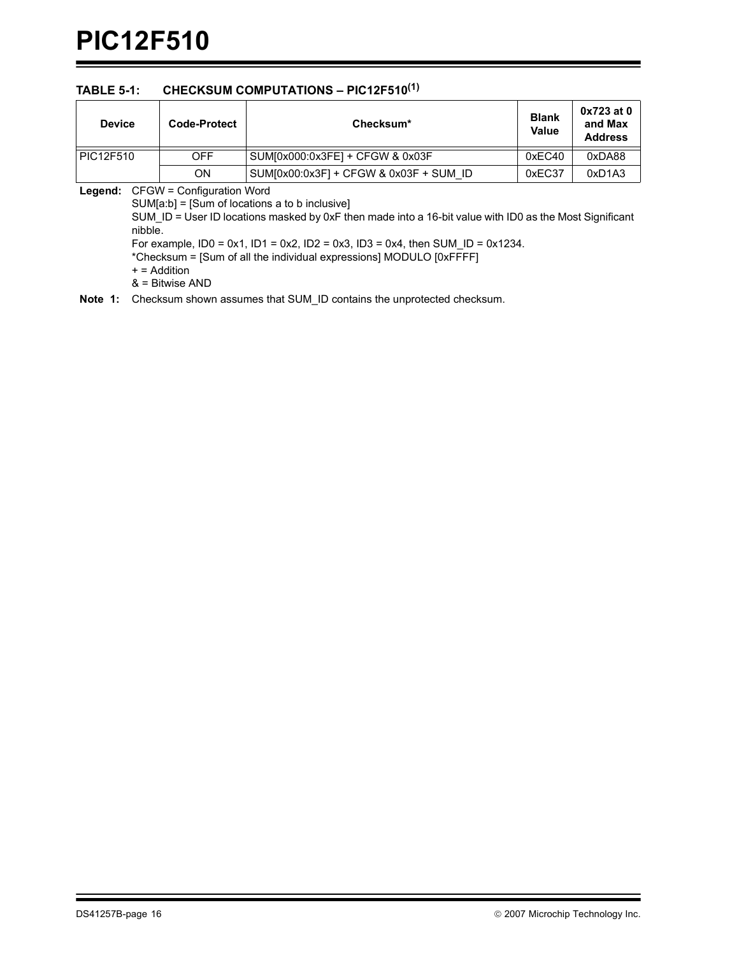## <span id="page-15-0"></span>**TABLE 5-1: CHECKSUM COMPUTATIONS – PIC12F510(1)**

| <b>Device</b> | Code-Protect                             | Checksum*                              | <b>Blank</b><br><b>Value</b> | $0x723$ at $0$<br>and Max<br><b>Address</b> |
|---------------|------------------------------------------|----------------------------------------|------------------------------|---------------------------------------------|
| PIC12F510     | <b>OFF</b>                               | SUM[0x000:0x3FE] + CFGW & 0x03F        | 0xEC40                       | 0xDA88                                      |
| ON            |                                          | SUM[0x00:0x3F] + CFGW & 0x03F + SUM ID | 0xEC37                       | 0xD1A3                                      |
|               | <b>Legend:</b> CFGW = Configuration Word |                                        |                              |                                             |

SUM[a:b] = [Sum of locations a to b inclusive] SUM\_ID = User ID locations masked by 0xF then made into a 16-bit value with ID0 as the Most Significant nibble. For example,  $ID0 = 0x1$ ,  $ID1 = 0x2$ ,  $ID2 = 0x3$ ,  $ID3 = 0x4$ , then SUM\_ID = 0x1234. \*Checksum = [Sum of all the individual expressions] MODULO [0xFFFF] + = Addition & = Bitwise AND

**Note 1:** Checksum shown assumes that SUM\_ID contains the unprotected checksum.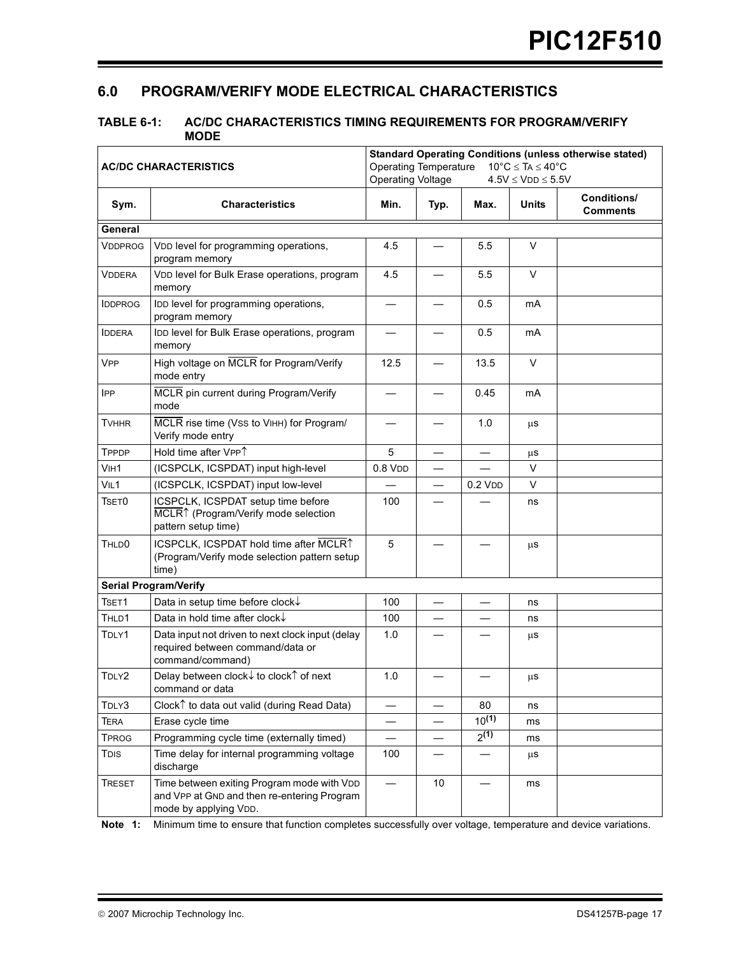## **6.0 PROGRAM/VERIFY MODE ELECTRICAL CHARACTERISTICS**

### <span id="page-16-0"></span>**TABLE 6-1: AC/DC CHARACTERISTICS TIMING REQUIREMENTS FOR PROGRAM/VERIFY MODE**

|                   | <b>AC/DC CHARACTERISTICS</b>                                                                                       | <b>Standard Operating Conditions (unless otherwise stated)</b><br>$10^{\circ}$ C $\leq$ TA $\leq 40^{\circ}$ C<br><b>Operating Temperature</b><br><b>Operating Voltage</b><br>$4.5V \leq VDD \leq 5.5V$ |                          |                          |              |                                       |  |
|-------------------|--------------------------------------------------------------------------------------------------------------------|---------------------------------------------------------------------------------------------------------------------------------------------------------------------------------------------------------|--------------------------|--------------------------|--------------|---------------------------------------|--|
| Sym.              | <b>Characteristics</b>                                                                                             | Min.                                                                                                                                                                                                    | Typ.                     | Max.                     | <b>Units</b> | <b>Conditions/</b><br><b>Comments</b> |  |
| General           |                                                                                                                    |                                                                                                                                                                                                         |                          |                          |              |                                       |  |
| <b>VDDPROG</b>    | VDD level for programming operations,<br>program memory                                                            | 4.5                                                                                                                                                                                                     |                          | 5.5                      | V            |                                       |  |
| <b>VDDERA</b>     | VDD level for Bulk Erase operations, program<br>memory                                                             | 4.5                                                                                                                                                                                                     |                          | 5.5                      | $\vee$       |                                       |  |
| <b>IDDPROG</b>    | IDD level for programming operations,<br>program memory                                                            |                                                                                                                                                                                                         |                          | 0.5                      | mA           |                                       |  |
| <b>IDDERA</b>     | IDD level for Bulk Erase operations, program<br>memory                                                             |                                                                                                                                                                                                         |                          | 0.5                      | mA           |                                       |  |
| <b>VPP</b>        | High voltage on MCLR for Program/Verify<br>mode entry                                                              | 12.5                                                                                                                                                                                                    |                          | 13.5                     | V            |                                       |  |
| <b>IPP</b>        | MCLR pin current during Program/Verify<br>mode                                                                     |                                                                                                                                                                                                         |                          | 0.45                     | mA           |                                       |  |
| <b>TVHHR</b>      | MCLR rise time (Vss to VIHH) for Program/<br>Verify mode entry                                                     |                                                                                                                                                                                                         |                          | 1.0                      | μS           |                                       |  |
| TPPDP             | Hold time after VPP <sup>1</sup>                                                                                   | 5                                                                                                                                                                                                       | $\overline{\phantom{0}}$ | $\overline{\phantom{0}}$ | μS           |                                       |  |
| VIH1              | (ICSPCLK, ICSPDAT) input high-level                                                                                | $0.8$ V <sub>D</sub> $D$                                                                                                                                                                                |                          |                          | V            |                                       |  |
| VIL <sub>1</sub>  | (ICSPCLK, ICSPDAT) input low-level                                                                                 |                                                                                                                                                                                                         | $\overline{\phantom{0}}$ | $0.2$ V <sub>DD</sub>    | $\vee$       |                                       |  |
| TSET0             | ICSPCLK, ICSPDAT setup time before<br>MCLR <sup>↑</sup> (Program/Verify mode selection<br>pattern setup time)      | 100                                                                                                                                                                                                     |                          |                          | ns           |                                       |  |
| THLD <sub>0</sub> | ICSPCLK, ICSPDAT hold time after MCLRT<br>(Program/Verify mode selection pattern setup<br>time)                    | 5                                                                                                                                                                                                       |                          |                          | μS           |                                       |  |
|                   | <b>Serial Program/Verify</b>                                                                                       |                                                                                                                                                                                                         |                          |                          |              |                                       |  |
| TSET1             | Data in setup time before clock↓                                                                                   | 100                                                                                                                                                                                                     |                          |                          | ns           |                                       |  |
| THLD1             | Data in hold time after clock↓                                                                                     | 100                                                                                                                                                                                                     |                          |                          | ns           |                                       |  |
| TDLY1             | Data input not driven to next clock input (delay<br>required between command/data or<br>command/command)           | 1.0                                                                                                                                                                                                     |                          |                          | μS           |                                       |  |
| TDLY2             | Delay between clock↓ to clock1 of next<br>command or data                                                          | 1.0                                                                                                                                                                                                     |                          |                          | μS           |                                       |  |
| TDLY3             | Clock <sup><math>\uparrow</math></sup> to data out valid (during Read Data)                                        |                                                                                                                                                                                                         |                          | 80                       | ns           |                                       |  |
| <b>TERA</b>       | Erase cycle time                                                                                                   |                                                                                                                                                                                                         |                          | $10^{(1)}$               | ms           |                                       |  |
| <b>TPROG</b>      | Programming cycle time (externally timed)                                                                          |                                                                                                                                                                                                         |                          | $2^{(1)}$                | ms           |                                       |  |
| <b>TDIS</b>       | Time delay for internal programming voltage<br>discharge                                                           | 100                                                                                                                                                                                                     |                          |                          | μS           |                                       |  |
| <b>TRESET</b>     | Time between exiting Program mode with VDD<br>and VPP at GND and then re-entering Program<br>mode by applying VDD. |                                                                                                                                                                                                         | 10                       |                          | ms           |                                       |  |

**Note 1:** Minimum time to ensure that function completes successfully over voltage, temperature and device variations.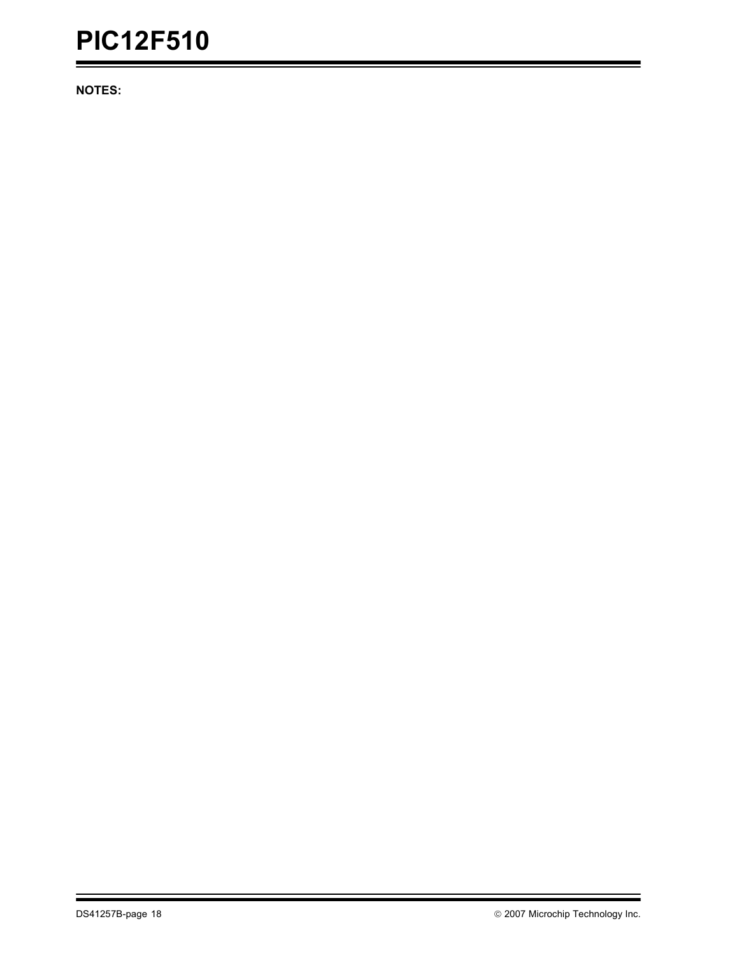**NOTES:**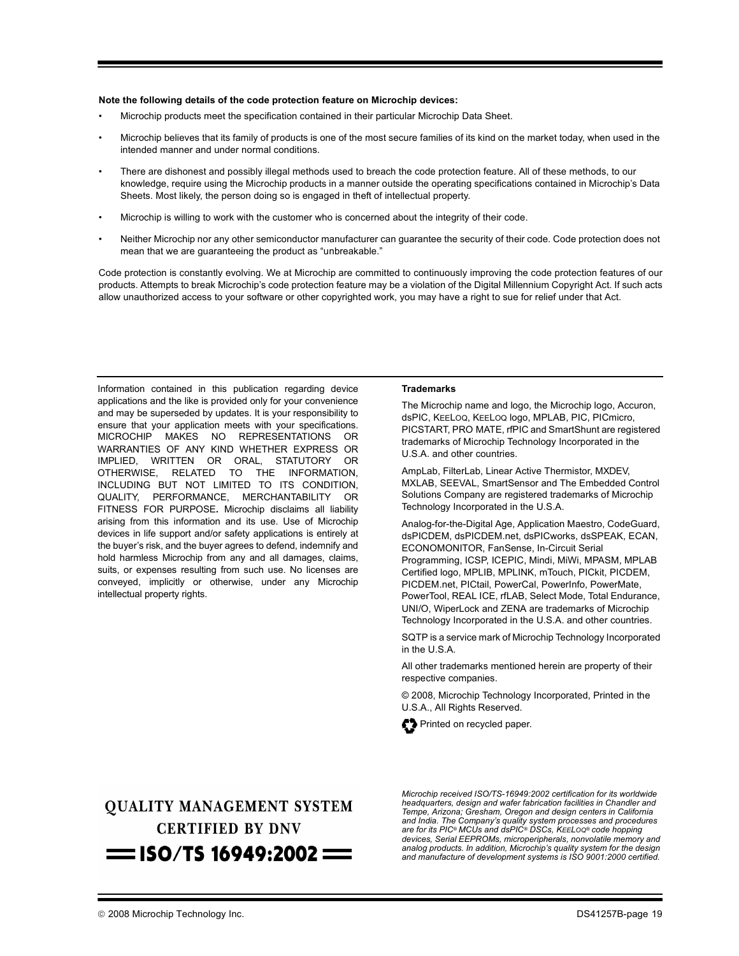#### **Note the following details of the code protection feature on Microchip devices:**

- Microchip products meet the specification contained in their particular Microchip Data Sheet.
- Microchip believes that its family of products is one of the most secure families of its kind on the market today, when used in the intended manner and under normal conditions.
- There are dishonest and possibly illegal methods used to breach the code protection feature. All of these methods, to our knowledge, require using the Microchip products in a manner outside the operating specifications contained in Microchip's Data Sheets. Most likely, the person doing so is engaged in theft of intellectual property.
- Microchip is willing to work with the customer who is concerned about the integrity of their code.
- Neither Microchip nor any other semiconductor manufacturer can guarantee the security of their code. Code protection does not mean that we are guaranteeing the product as "unbreakable."

Code protection is constantly evolving. We at Microchip are committed to continuously improving the code protection features of our products. Attempts to break Microchip's code protection feature may be a violation of the Digital Millennium Copyright Act. If such acts allow unauthorized access to your software or other copyrighted work, you may have a right to sue for relief under that Act.

Information contained in this publication regarding device applications and the like is provided only for your convenience and may be superseded by updates. It is your responsibility to ensure that your application meets with your specifications. MICROCHIP MAKES NO REPRESENTATIONS OR WARRANTIES OF ANY KIND WHETHER EXPRESS OR IMPLIED, WRITTEN OR ORAL, STATUTORY OR OTHERWISE, RELATED TO THE INFORMATION, INCLUDING BUT NOT LIMITED TO ITS CONDITION, QUALITY, PERFORMANCE, MERCHANTABILITY OR FITNESS FOR PURPOSE**.** Microchip disclaims all liability arising from this information and its use. Use of Microchip devices in life support and/or safety applications is entirely at the buyer's risk, and the buyer agrees to defend, indemnify and hold harmless Microchip from any and all damages, claims, suits, or expenses resulting from such use. No licenses are conveyed, implicitly or otherwise, under any Microchip intellectual property rights.

#### **Trademarks**

The Microchip name and logo, the Microchip logo, Accuron, dsPIC, KEELOQ, KEELOQ logo, MPLAB, PIC, PICmicro, PICSTART, PRO MATE, rfPIC and SmartShunt are registered trademarks of Microchip Technology Incorporated in the U.S.A. and other countries.

AmpLab, FilterLab, Linear Active Thermistor, MXDEV, MXLAB, SEEVAL, SmartSensor and The Embedded Control Solutions Company are registered trademarks of Microchip Technology Incorporated in the U.S.A.

Analog-for-the-Digital Age, Application Maestro, CodeGuard, dsPICDEM, dsPICDEM.net, dsPICworks, dsSPEAK, ECAN, ECONOMONITOR, FanSense, In-Circuit Serial Programming, ICSP, ICEPIC, Mindi, MiWi, MPASM, MPLAB Certified logo, MPLIB, MPLINK, mTouch, PICkit, PICDEM, PICDEM.net, PICtail, PowerCal, PowerInfo, PowerMate, PowerTool, REAL ICE, rfLAB, Select Mode, Total Endurance, UNI/O, WiperLock and ZENA are trademarks of Microchip Technology Incorporated in the U.S.A. and other countries.

SQTP is a service mark of Microchip Technology Incorporated in the U.S.A.

All other trademarks mentioned herein are property of their respective companies.

© 2008, Microchip Technology Incorporated, Printed in the U.S.A., All Rights Reserved.



## **QUALITY MANAGEMENT SYSTEM CERTIFIED BY DNV**  $=$  ISO/TS 16949:2002  $=$

*Microchip received ISO/TS-16949:2002 certification for its worldwide headquarters, design and wafer fabrication facilities in Chandler and Tempe, Arizona; Gresham, Oregon and design centers in California and India. The Company's quality system processes and procedures are for its PIC® MCUs and dsPIC® DSCs, KEELOQ® code hopping devices, Serial EEPROMs, microperipherals, nonvolatile memory and analog products. In addition, Microchip's quality system for the design and manufacture of development systems is ISO 9001:2000 certified.*